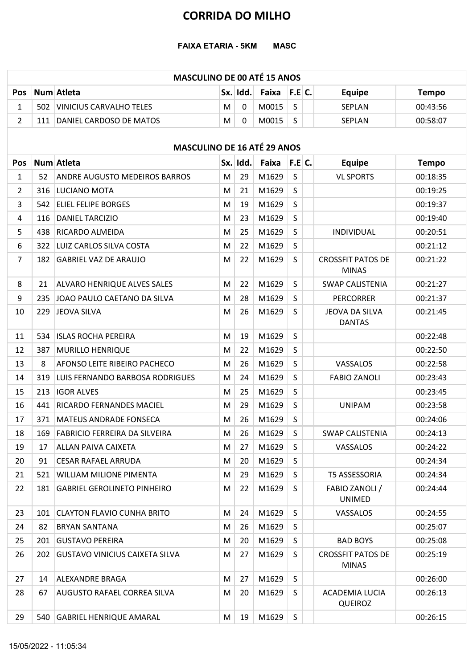#### FAIXA ETARIA - 5KM MASC

# MASCULINO DE 00 ATÉ 15 ANOS **CORRIDA DO MILHO<br>
FAIXA ETARIA - 5KM MASC<br>
Pos Num Atleta SX. Idd. Faixa F.E C. Equipe Tempo<br>
1 502 VINICIUS CARVALHO TELES M 0 MO015 S SEPLAN 00:43:56<br>
2 111 DANIEL CARDOSO DE MATOS M 0 MO015 S SEPLAN 00:58:07<br>
M 0 MO015** CORRIDA DO MILHO<br>
FAIXA ETARIA - 5KM MASC<br>
MASCULINO DE 00 ATÉ 15 ANOS<br>
00:43:56<br>
110 DANIEL CARDOSO DE MATOS<br>
20:43:56<br>
20:58:07<br>
20:58:07<br>
M 0 M0015 S SEPLAN 00:58:07<br>
MASCULINO DE 16 ATÉ 29 ANOS<br>
00:58:07<br>
MASCULINO DE **CORRIDA DO MILHO<br>
FAIXA ETARIA - 5KM MASC<br>
MASCULINO DE 00 ATÉ 15 ANOS<br>
2 111 DANIEL CARDOSO DE MATOS M 0 MO015 S SEPLAN 00:43:56<br>
2 111 DANIEL CARDOSO DE MATOS M 0 MO015 S SEPLAN 00:58:07<br>
MASCULINO DE 16 ATÉ 29 ANOS<br>
00**

|                |     |                                       |   |             | <b>CORRIDA DO MILHO</b> |             |                                          |              |
|----------------|-----|---------------------------------------|---|-------------|-------------------------|-------------|------------------------------------------|--------------|
|                |     | <b>FAIXA ETARIA - 5KM</b>             |   |             | <b>MASC</b>             |             |                                          |              |
|                |     | <b>MASCULINO DE 00 ATÉ 15 ANOS</b>    |   |             |                         |             |                                          |              |
| <b>Pos</b>     |     | Num Atleta                            |   | Sx. Idd.    | Faixa                   | F.E C.      | <b>Equipe</b>                            | <b>Tempo</b> |
| 1              | 502 | <b>VINICIUS CARVALHO TELES</b>        | M | $\mathbf 0$ | M0015                   | S           | SEPLAN                                   | 00:43:56     |
| $\overline{2}$ |     | 111 DANIEL CARDOSO DE MATOS           | M | 0           | M0015                   | S           | SEPLAN                                   | 00:58:07     |
|                |     |                                       |   |             |                         |             |                                          |              |
|                |     | <b>MASCULINO DE 16 ATÉ 29 ANOS</b>    |   |             |                         |             |                                          |              |
| <b>Pos</b>     |     | Num Atleta                            |   | Sx. Idd.    | Faixa                   | F.E.C.      | <b>Equipe</b>                            | <b>Tempo</b> |
| $\mathbf{1}$   | 52  | <b>ANDRE AUGUSTO MEDEIROS BARROS</b>  | M | 29          | M1629                   | $\mathsf S$ | <b>VL SPORTS</b>                         | 00:18:35     |
| $\overline{2}$ | 316 | LUCIANO MOTA                          | M | 21          | M1629                   | S           |                                          | 00:19:25     |
| 3              | 542 | <b>ELIEL FELIPE BORGES</b>            | M | 19          | M1629                   | S           |                                          | 00:19:37     |
| 4              | 116 | <b>DANIEL TARCIZIO</b>                | M | 23          | M1629                   | $\sf S$     |                                          | 00:19:40     |
| 5              | 438 | <b>RICARDO ALMEIDA</b>                | M | 25          | M1629                   | S           | INDIVIDUAL                               | 00:20:51     |
| 6              |     | 322 LUIZ CARLOS SILVA COSTA           | M | 22          | M1629                   | S           |                                          | 00:21:12     |
| 7              | 182 | <b>GABRIEL VAZ DE ARAUJO</b>          | M | 22          | M1629                   | S           | <b>CROSSFIT PATOS DE</b><br><b>MINAS</b> | 00:21:22     |
| 8              | 21  | <b>ALVARO HENRIQUE ALVES SALES</b>    | M | 22          | M1629                   | S           | <b>SWAP CALISTENIA</b>                   | 00:21:27     |
| 9              | 235 | JOAO PAULO CAETANO DA SILVA           | M | 28          | M1629                   | S           | <b>PERCORRER</b>                         | 00:21:37     |
| 10             | 229 | JEOVA SILVA                           | M | 26          | M1629                   | S           | JEOVA DA SILVA<br><b>DANTAS</b>          | 00:21:45     |
| 11             |     | 534 ISLAS ROCHA PEREIRA               | M | 19          | M1629                   | S           |                                          | 00:22:48     |
| 12             | 387 | <b>MURILLO HENRIQUE</b>               | M | 22          | M1629                   | S           |                                          | 00:22:50     |
| 13             | 8   | AFONSO LEITE RIBEIRO PACHECO          | M | 26          | M1629                   | S           | VASSALOS                                 | 00:22:58     |
| 14             | 319 | LUIS FERNANDO BARBOSA RODRIGUES       | M | 24          | M1629                   | S           | <b>FABIO ZANOLI</b>                      | 00:23:43     |
| 15             |     | 213 IGOR ALVES                        | M | 25          | M1629                   | S           |                                          | 00:23:45     |
| 16             |     | 441 RICARDO FERNANDES MACIEL          | M | 29          | M1629                   | S           | <b>UNIPAM</b>                            | 00:23:58     |
| 17             |     | 371   MATEUS ANDRADE FONSECA          | M | 26          | M1629                   | S           |                                          | 00:24:06     |
| 18             | 169 | <b>FABRICIO FERREIRA DA SILVEIRA</b>  | M | 26          | M1629                   | $\sf S$     | <b>SWAP CALISTENIA</b>                   | 00:24:13     |
| 19             | 17  | <b>ALLAN PAIVA CAIXETA</b>            | M | 27          | M1629                   | S           | VASSALOS                                 | 00:24:22     |
| 20             | 91  | <b>CESAR RAFAEL ARRUDA</b>            | M | 20          | M1629                   | S           |                                          | 00:24:34     |
| 21             | 521 | <b>WILLIAM MILIONE PIMENTA</b>        | M | 29          | M1629                   | S           | <b>T5 ASSESSORIA</b>                     | 00:24:34     |
| 22             | 181 | <b>GABRIEL GEROLINETO PINHEIRO</b>    | M | 22          | M1629                   | S           | FABIO ZANOLI /<br><b>UNIMED</b>          | 00:24:44     |
| 23             |     | 101 CLAYTON FLAVIO CUNHA BRITO        | M | 24          | M1629                   | S           | VASSALOS                                 | 00:24:55     |
| 24             | 82  | <b>BRYAN SANTANA</b>                  | M | 26          | M1629                   | S           |                                          | 00:25:07     |
| 25             |     | 201 GUSTAVO PEREIRA                   | M | 20          | M1629                   | S           | <b>BAD BOYS</b>                          | 00:25:08     |
| 26             | 202 | <b>GUSTAVO VINICIUS CAIXETA SILVA</b> | M | 27          | M1629                   | S           | <b>CROSSFIT PATOS DE</b><br><b>MINAS</b> | 00:25:19     |
| 27             | 14  | <b>ALEXANDRE BRAGA</b>                | M | 27          | M1629                   | S           |                                          | 00:26:00     |
| 28             | 67  | <b>AUGUSTO RAFAEL CORREA SILVA</b>    | M | 20          | M1629                   | S           | <b>ACADEMIA LUCIA</b><br><b>QUEIROZ</b>  | 00:26:13     |
| 29             |     | 540 GABRIEL HENRIQUE AMARAL           | M | 19          | M1629                   | S           |                                          | 00:26:15     |
|                |     | 15/05/2022 - 11:05:34                 |   |             |                         |             |                                          |              |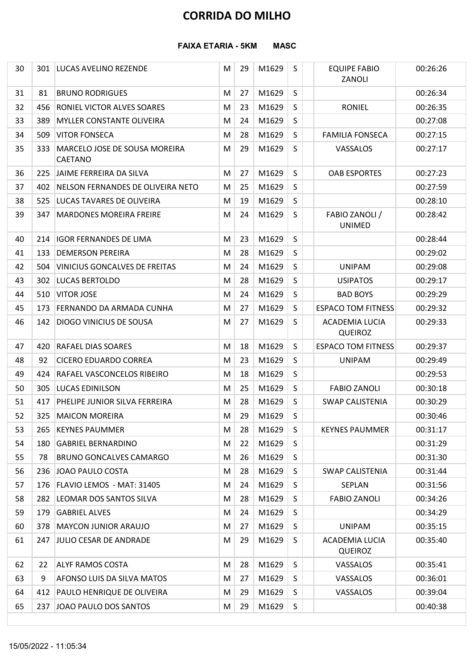|    |     |                                                 |   |    | <b>CORRIDA DO MILHO</b> |             |                                         |          |
|----|-----|-------------------------------------------------|---|----|-------------------------|-------------|-----------------------------------------|----------|
|    |     | <b>FAIXA ETARIA - 5KM</b>                       |   |    | <b>MASC</b>             |             |                                         |          |
| 30 | 301 | LUCAS AVELINO REZENDE                           | M | 29 | M1629                   | S           | <b>EQUIPE FABIO</b><br>ZANOLI           | 00:26:26 |
| 31 | 81  | <b>BRUNO RODRIGUES</b>                          | M | 27 | M1629                   | S           |                                         | 00:26:34 |
| 32 | 456 | <b>RONIEL VICTOR ALVES SOARES</b>               | M | 23 | M1629                   | S           | <b>RONIEL</b>                           | 00:26:35 |
| 33 | 389 | <b>MYLLER CONSTANTE OLIVEIRA</b>                | M | 24 | M1629                   | S           |                                         | 00:27:08 |
| 34 | 509 | <b>VITOR FONSECA</b>                            | M | 28 | M1629                   | S           | <b>FAMILIA FONSECA</b>                  | 00:27:15 |
| 35 | 333 | MARCELO JOSE DE SOUSA MOREIRA<br><b>CAETANO</b> | M | 29 | M1629                   | S           | VASSALOS                                | 00:27:17 |
| 36 |     | 225 JAIME FERREIRA DA SILVA                     | M | 27 | M1629                   | S           | <b>OAB ESPORTES</b>                     | 00:27:23 |
| 37 | 402 | NELSON FERNANDES DE OLIVEIRA NETO               | M | 25 | M1629                   | $\mathsf S$ |                                         | 00:27:59 |
| 38 | 525 | LUCAS TAVARES DE OLIVEIRA                       | M | 19 | M1629                   | S           |                                         | 00:28:10 |
| 39 | 347 | <b>MARDONES MOREIRA FREIRE</b>                  | М | 24 | M1629                   | S           | FABIO ZANOLI /<br><b>UNIMED</b>         | 00:28:42 |
| 40 | 214 | <b>IGOR FERNANDES DE LIMA</b>                   | М | 23 | M1629                   | S           |                                         | 00:28:44 |
| 41 | 133 | <b>DEMERSON PEREIRA</b>                         | М | 28 | M1629                   | S           |                                         | 00:29:02 |
| 42 | 504 | <b>VINICIUS GONCALVES DE FREITAS</b>            | M | 24 | M1629                   | S           | <b>UNIPAM</b>                           | 00:29:08 |
| 43 | 302 | <b>LUCAS BERTOLDO</b>                           | M | 28 | M1629                   | S           | <b>USIPATOS</b>                         | 00:29:17 |
| 44 |     | 510 VITOR JOSE                                  | M | 24 | M1629                   | S           | <b>BAD BOYS</b>                         | 00:29:29 |
| 45 |     | 173 FERNANDO DA ARMADA CUNHA                    | M | 27 | M1629                   | S           | <b>ESPACO TOM FITNESS</b>               | 00:29:32 |
| 46 | 142 | <b>DIOGO VINICIUS DE SOUSA</b>                  | M | 27 | M1629                   | S           | <b>ACADEMIA LUCIA</b><br><b>QUEIROZ</b> | 00:29:33 |
| 47 | 420 | <b>RAFAEL DIAS SOARES</b>                       | M | 18 | M1629                   | $\sf S$     | <b>ESPACO TOM FITNESS</b>               | 00:29:37 |
| 48 | 92  | <b>CICERO EDUARDO CORREA</b>                    | M | 23 | M1629                   | S           | <b>UNIPAM</b>                           | 00:29:49 |
| 49 | 424 | RAFAEL VASCONCELOS RIBEIRO                      | M | 18 | M1629                   | S           |                                         | 00:29:53 |
| 50 | 305 | <b>LUCAS EDINILSON</b>                          | M | 25 | M1629                   | S           | <b>FABIO ZANOLI</b>                     | 00:30:18 |
| 51 | 417 | PHELIPE JUNIOR SILVA FERREIRA                   | M | 28 | M1629                   | S           | <b>SWAP CALISTENIA</b>                  | 00:30:29 |
| 52 | 325 | <b>MAICON MOREIRA</b>                           | M | 29 | M1629                   | S           |                                         | 00:30:46 |
| 53 | 265 | <b>KEYNES PAUMMER</b>                           | M | 28 | M1629                   | S           | <b>KEYNES PAUMMER</b>                   | 00:31:17 |
| 54 | 180 | <b>GABRIEL BERNARDINO</b>                       | M | 22 | M1629                   | S           |                                         | 00:31:29 |
| 55 | 78  | <b>BRUNO GONCALVES CAMARGO</b>                  | M | 26 | M1629                   | S           |                                         | 00:31:30 |
| 56 | 236 | JOAO PAULO COSTA                                | M | 28 | M1629                   | S           | <b>SWAP CALISTENIA</b>                  | 00:31:44 |
| 57 |     | 176   FLAVIO LEMOS - MAT: 31405                 | M | 24 | M1629                   | S           | <b>SEPLAN</b>                           | 00:31:56 |
| 58 | 282 | LEOMAR DOS SANTOS SILVA                         | M | 28 | M1629                   | S           | <b>FABIO ZANOLI</b>                     | 00:34:26 |
| 59 | 179 | <b>GABRIEL ALVES</b>                            | M | 24 | M1629                   | S           |                                         | 00:34:29 |
| 60 | 378 | <b>MAYCON JUNIOR ARAUJO</b>                     | M | 27 | M1629                   | S           | <b>UNIPAM</b>                           | 00:35:15 |
| 61 |     | 247 JULIO CESAR DE ANDRADE                      | M | 29 | M1629                   | S           | ACADEMIA LUCIA<br><b>QUEIROZ</b>        | 00:35:40 |
| 62 | 22  | <b>ALYF RAMOS COSTA</b>                         | M | 28 | M1629                   | S           | VASSALOS                                | 00:35:41 |
| 63 | 9   | <b>AFONSO LUIS DA SILVA MATOS</b>               | М | 27 | M1629                   | S           | VASSALOS                                | 00:36:01 |
| 64 |     | 412 PAULO HENRIQUE DE OLIVEIRA                  | M | 29 | M1629                   | S           | VASSALOS                                | 00:39:04 |
| 65 |     | 237 JOAO PAULO DOS SANTOS                       | M | 29 | M1629                   | S           |                                         | 00:40:38 |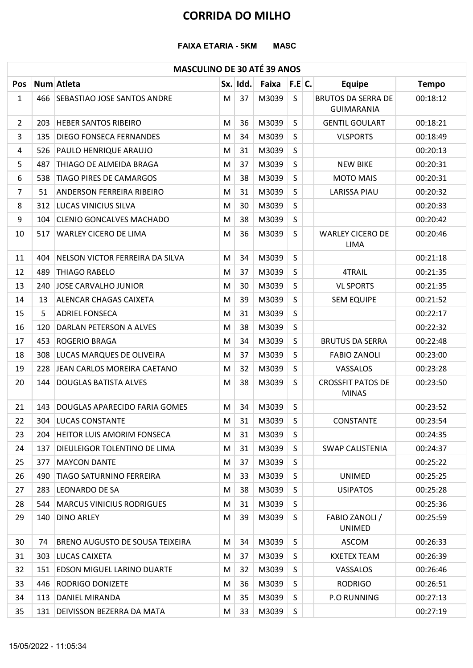#### FAIXA ETARIA - 5KM MASC

## MASCULINO DE 30 ATÉ 39 ANOS

|                |     | <b>FAIXA ETARIA - 5KM</b>              |                |             | <b>CORRIDA DO MILHO</b><br><b>MASC</b> |              |                                                |              |
|----------------|-----|----------------------------------------|----------------|-------------|----------------------------------------|--------------|------------------------------------------------|--------------|
|                |     | <b>MASCULINO DE 30 ATÉ 39 ANOS</b>     |                |             |                                        |              |                                                |              |
| Pos            |     | Num Atleta                             |                | Sx. Idd.    | Faixa                                  | F.E C.       | <b>Equipe</b>                                  | <b>Tempo</b> |
| $\mathbf{1}$   |     | 466 SEBASTIAO JOSE SANTOS ANDRE        | M <sub>1</sub> | 37          | M3039                                  | $\mathsf{S}$ | <b>BRUTOS DA SERRA DE</b><br><b>GUIMARANIA</b> | 00:18:12     |
| $\overline{2}$ | 203 | <b>HEBER SANTOS RIBEIRO</b>            | M              | 36          | M3039                                  | S            | <b>GENTIL GOULART</b>                          | 00:18:21     |
| 3              | 135 | <b>DIEGO FONSECA FERNANDES</b>         | М              | 34          | M3039                                  | S            | <b>VLSPORTS</b>                                | 00:18:49     |
| 4              | 526 | <b>PAULO HENRIQUE ARAUJO</b>           | M              | 31          | M3039                                  | S            |                                                | 00:20:13     |
| 5              | 487 | THIAGO DE ALMEIDA BRAGA                | M              | 37          | M3039                                  | S            | <b>NEW BIKE</b>                                | 00:20:31     |
| 6              | 538 | <b>TIAGO PIRES DE CAMARGOS</b>         | M              | 38          | M3039                                  | $\mathsf{S}$ | <b>MOTO MAIS</b>                               | 00:20:31     |
| $\overline{7}$ | 51  | <b>ANDERSON FERREIRA RIBEIRO</b>       | M              | 31          | M3039                                  | $\sf S$      | <b>LARISSA PIAU</b>                            | 00:20:32     |
| 8              |     | 312   LUCAS VINICIUS SILVA             | M              | 30          | M3039                                  | S            |                                                | 00:20:33     |
| 9              | 104 | <b>CLENIO GONCALVES MACHADO</b>        | M              | 38          | M3039                                  | S            |                                                | 00:20:42     |
| 10             | 517 | WARLEY CICERO DE LIMA                  | M              | 36          | M3039                                  | $\mathsf{S}$ | <b>WARLEY CICERO DE</b><br>LIMA                | 00:20:46     |
| 11             | 404 | NELSON VICTOR FERREIRA DA SILVA        | M              | 34          | M3039                                  | S            |                                                | 00:21:18     |
| 12             | 489 | <b>THIAGO RABELO</b>                   | M              | 37          | M3039                                  | S            | 4TRAIL                                         | 00:21:35     |
| 13             | 240 | JOSE CARVALHO JUNIOR                   | M              | 30          | M3039                                  | S            | <b>VL SPORTS</b>                               | 00:21:35     |
| 14             | 13  | <b>ALENCAR CHAGAS CAIXETA</b>          | M              | 39          | M3039                                  | S            | <b>SEM EQUIPE</b>                              | 00:21:52     |
| 15             | 5.  | <b>ADRIEL FONSECA</b>                  | M              | 31          | M3039                                  | S            |                                                | 00:22:17     |
| 16             | 120 | DARLAN PETERSON A ALVES                | M              | 38          | M3039                                  | S            |                                                | 00:22:32     |
| 17             | 453 | <b>ROGERIO BRAGA</b>                   | M              | 34          | M3039                                  | S            | <b>BRUTUS DA SERRA</b>                         | 00:22:48     |
| 18             | 308 | <b>LUCAS MARQUES DE OLIVEIRA</b>       | M              | 37          | M3039                                  | S            | <b>FABIO ZANOLI</b>                            | 00:23:00     |
| 19             | 228 | JEAN CARLOS MOREIRA CAETANO            | M              | 32          | M3039                                  | S            | VASSALOS                                       | 00:23:28     |
| 20             | 144 | <b>DOUGLAS BATISTA ALVES</b>           | M              | 38          | M3039                                  | S            | <b>CROSSFIT PATOS DE</b><br><b>MINAS</b>       | 00:23:50     |
| 21             | 143 | DOUGLAS APARECIDO FARIA GOMES          | М              | 34          | M3039                                  | S            |                                                | 00:23:52     |
| 22             | 304 | <b>LUCAS CONSTANTE</b>                 | M              | 31          | M3039                                  | S            | CONSTANTE                                      | 00:23:54     |
| 23             |     | 204 HEITOR LUIS AMORIM FONSECA         | M              | 31          | M3039                                  | S            |                                                | 00:24:35     |
| 24             | 137 | <b>DIEULEIGOR TOLENTINO DE LIMA</b>    | M              | 31          | M3039                                  | S            | <b>SWAP CALISTENIA</b>                         | 00:24:37     |
| 25             | 377 | <b>MAYCON DANTE</b>                    | M              | 37          | M3039                                  | S            |                                                | 00:25:22     |
| 26             | 490 | <b>TIAGO SATURNINO FERREIRA</b>        | M              | 33          | M3039                                  | S            | <b>UNIMED</b>                                  | 00:25:25     |
| 27             | 283 | <b>LEONARDO DE SA</b>                  | M              | 38          | M3039                                  | S            | <b>USIPATOS</b>                                | 00:25:28     |
| 28             |     | 544   MARCUS VINICIUS RODRIGUES        | M              | 31          | M3039                                  | S            |                                                | 00:25:36     |
| 29             |     | 140 DINO ARLEY                         | M              | 39          | M3039                                  | S            | FABIO ZANOLI /<br><b>UNIMED</b>                | 00:25:59     |
| 30             | 74  | <b>BRENO AUGUSTO DE SOUSA TEIXEIRA</b> | M              | 34          | M3039                                  | S            | <b>ASCOM</b>                                   | 00:26:33     |
| 31             |     | 303 LUCAS CAIXETA                      | M              | 37          | M3039                                  | S            | <b>KXETEX TEAM</b>                             | 00:26:39     |
| 32             |     | 151 EDSON MIGUEL LARINO DUARTE         | M              | 32          | M3039                                  | S            | VASSALOS                                       | 00:26:46     |
| 33             | 446 | <b>RODRIGO DONIZETE</b>                | M              | 36          | M3039                                  | S            | <b>RODRIGO</b>                                 | 00:26:51     |
| 34             |     | 113 DANIEL MIRANDA                     | M              |             | 35   M3039                             | $\sf S$      | P.O RUNNING                                    | 00:27:13     |
| 35             |     | 131   DEIVISSON BEZERRA DA MATA        |                | $M \mid 33$ | $M3039$ S                              |              |                                                | 00:27:19     |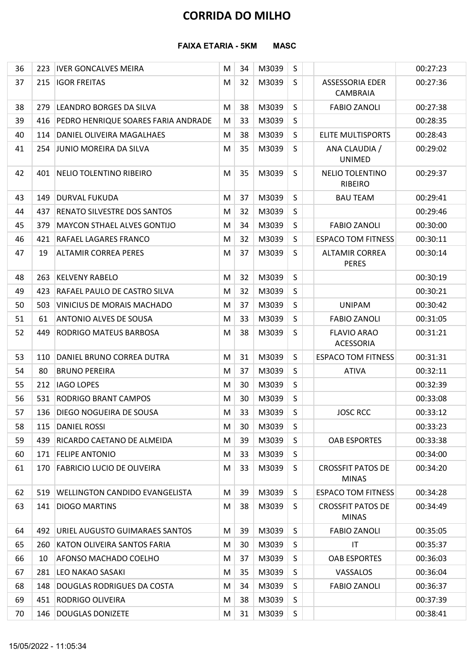|          |            | <b>FAIXA ETARIA - 5KM</b>                            |        |          | <b>MASC</b>    |                   |                                          |                      |
|----------|------------|------------------------------------------------------|--------|----------|----------------|-------------------|------------------------------------------|----------------------|
|          |            |                                                      |        |          |                |                   |                                          |                      |
| 36<br>37 | 223<br>215 | <b>IVER GONCALVES MEIRA</b><br><b>IGOR FREITAS</b>   | M<br>M | 34<br>32 | M3039<br>M3039 | $\mathsf{S}$<br>S | <b>ASSESSORIA EDER</b><br>CAMBRAIA       | 00:27:23<br>00:27:36 |
| 38       | 279        | LEANDRO BORGES DA SILVA                              | M      | 38       | M3039          | S                 | <b>FABIO ZANOLI</b>                      | 00:27:38             |
| 39       | 416        | PEDRO HENRIQUE SOARES FARIA ANDRADE                  | M      | 33       | M3039          | S                 |                                          | 00:28:35             |
| 40       | 114        | DANIEL OLIVEIRA MAGALHAES                            | M      | 38       | M3039          | $\mathsf S$       | <b>ELITE MULTISPORTS</b>                 | 00:28:43             |
| 41       |            | 254 JUNIO MOREIRA DA SILVA                           | M      | 35       | M3039          | S                 | ANA CLAUDIA /<br>UNIMED                  | 00:29:02             |
| 42       |            | 401 NELIO TOLENTINO RIBEIRO                          | М      | 35       | M3039          | S                 | NELIO TOLENTINO<br><b>RIBEIRO</b>        | 00:29:37             |
| 43       | 149        | <b>DURVAL FUKUDA</b>                                 | M      | 37       | M3039          | S                 | <b>BAU TEAM</b>                          | 00:29:41             |
| 44       | 437        | <b>RENATO SILVESTRE DOS SANTOS</b>                   | M      | 32       | M3039          | S                 |                                          | 00:29:46             |
| 45       |            | 379 MAYCON STHAEL ALVES GONTIJO                      | M      | 34       | M3039          | $\sf S$           | <b>FABIO ZANOLI</b>                      | 00:30:00             |
| 46       |            | 421 RAFAEL LAGARES FRANCO                            | M      | 32       | M3039          | S                 | <b>ESPACO TOM FITNESS</b>                | 00:30:11             |
| 47       | 19         | <b>ALTAMIR CORREA PERES</b>                          | M      | 37       | M3039          | S                 | <b>ALTAMIR CORREA</b><br><b>PERES</b>    | 00:30:14             |
| 48       |            | 263   KELVENY RABELO                                 | M      | 32       | M3039          | S                 |                                          | 00:30:19             |
| 49       | 423        | RAFAEL PAULO DE CASTRO SILVA                         | М      | 32       | M3039          | S                 |                                          | 00:30:21             |
| 50       | 503        | <b>VINICIUS DE MORAIS MACHADO</b>                    | М      | 37       | M3039          | S                 | <b>UNIPAM</b>                            | 00:30:42             |
| 51       | 61         | <b>ANTONIO ALVES DE SOUSA</b>                        | M      | 33       | M3039          | S                 | <b>FABIO ZANOLI</b>                      | 00:31:05             |
| 52       | 449        | <b>RODRIGO MATEUS BARBOSA</b>                        | M      | 38       | M3039          | S.                | <b>FLAVIO ARAO</b><br>ACESSORIA          | 00:31:21             |
| 53       | 110        | DANIEL BRUNO CORREA DUTRA                            | М      | 31       | M3039          | S                 | <b>ESPACO TOM FITNESS</b>                | 00:31:31             |
| 54       | 80         | <b>BRUNO PEREIRA</b>                                 | M      | 37       | M3039          | S.                | <b>ATIVA</b>                             | 00:32:11             |
| 55       |            | 212 IAGO LOPES                                       | M      | 30       | M3039          | S                 |                                          | 00:32:39             |
| 56       |            | 531 RODRIGO BRANT CAMPOS                             | M      | 30       | M3039          | S                 |                                          | 00:33:08             |
| 57       |            | 136   DIEGO NOGUEIRA DE SOUSA                        | M      | 33       | M3039          | S                 | <b>JOSC RCC</b>                          | 00:33:12             |
| 58       |            | 115 DANIEL ROSSI                                     | M      | 30       | M3039          | S                 |                                          | 00:33:23             |
| 59<br>60 |            | 439 RICARDO CAETANO DE ALMEIDA<br>171 FELIPE ANTONIO | M      | 39<br>33 | M3039<br>M3039 | S<br>S            | <b>OAB ESPORTES</b>                      | 00:33:38<br>00:34:00 |
| 61       |            | 170 FABRICIO LUCIO DE OLIVEIRA                       | M<br>M | 33       | M3039          | S                 | <b>CROSSFIT PATOS DE</b><br><b>MINAS</b> | 00:34:20             |
| 62       |            | 519   WELLINGTON CANDIDO EVANGELISTA                 | M      | 39       | M3039          | S                 | <b>ESPACO TOM FITNESS</b>                | 00:34:28             |
| 63       |            | 141 DIOGO MARTINS                                    | M      | 38       | M3039          | S.                | <b>CROSSFIT PATOS DE</b><br><b>MINAS</b> | 00:34:49             |
| 64       |            | 492 URIEL AUGUSTO GUIMARAES SANTOS                   | M      | 39       | M3039          | S                 | <b>FABIO ZANOLI</b>                      | 00:35:05             |
| 65       |            | 260 KATON OLIVEIRA SANTOS FARIA                      | M      | 30       | M3039          | S                 | IT                                       | 00:35:37             |
| 66       | 10         | <b>AFONSO MACHADO COELHO</b>                         | М      | 37       | M3039          | S                 | <b>OAB ESPORTES</b>                      | 00:36:03             |
| 67       |            | 281 LEO NAKAO SASAKI                                 | M      | 35       | M3039          | S                 | VASSALOS                                 | 00:36:04             |
| 68       |            | 148 DOUGLAS RODRIGUES DA COSTA                       | M      | 34       | $M3039$ S      |                   | <b>FABIO ZANOLI</b>                      | 00:36:37             |
| 69       |            | 451 RODRIGO OLIVEIRA                                 | M      | 38       | M3039          | S                 |                                          | 00:37:39             |
| 70       |            | 146 DOUGLAS DONIZETE                                 | M      | 31       | M3039          | S                 |                                          | 00:38:41             |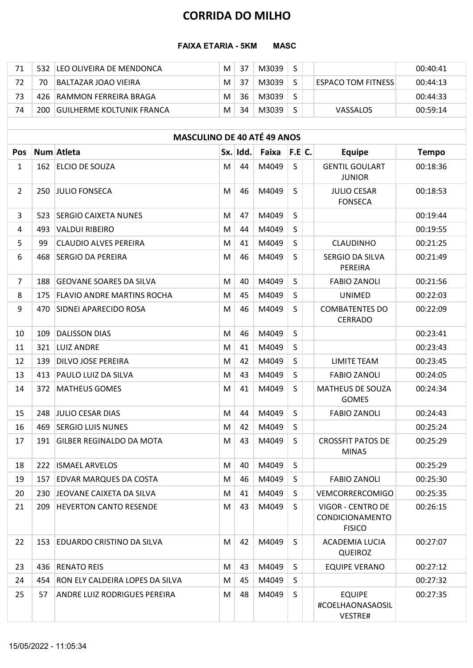|     |     | <b>CORRIDA DO MILHO</b>            |   |          |             |              |                           |              |
|-----|-----|------------------------------------|---|----------|-------------|--------------|---------------------------|--------------|
|     |     | <b>FAIXA ETARIA - 5KM</b>          |   |          | <b>MASC</b> |              |                           |              |
|     |     |                                    |   |          |             |              |                           |              |
| 71  | 532 | LEO OLIVEIRA DE MENDONCA           | M | 37       | M3039       | S            |                           | 00:40:41     |
| 72  | 70  | <b>BALTAZAR JOAO VIEIRA</b>        | M | 37       | M3039       | $\mathsf{S}$ | <b>ESPACO TOM FITNESS</b> | 00:44:13     |
| 73  | 426 | RAMMON FERREIRA BRAGA              | M | 36       | M3039       | $\sf S$      |                           | 00:44:33     |
| 74  | 200 | <b>GUILHERME KOLTUNIK FRANCA</b>   | M | 34       | M3039       | $\sf S$      | VASSALOS                  | 00:59:14     |
|     |     |                                    |   |          |             |              |                           |              |
|     |     | <b>MASCULINO DE 40 ATÉ 49 ANOS</b> |   |          |             |              |                           |              |
| Pos |     | Num Atleta                         |   | Sx. Idd. | Faixa       | F.E.C.       | <b>Equipe</b>             | <b>Tempo</b> |

|                |     | <b>FAIXA ETARIA - 5KM</b>           |   |          | <b>MASC</b>    |              |                                                       |                          |
|----------------|-----|-------------------------------------|---|----------|----------------|--------------|-------------------------------------------------------|--------------------------|
| 71             |     | 532 LEO OLIVEIRA DE MENDONCA        | M | 37       | M3039          | S            |                                                       | 00:40:41                 |
| 72             | 70  | <b>BALTAZAR JOAO VIEIRA</b>         | M | 37       | M3039          | S            | <b>ESPACO TOM FITNESS</b>                             | 00:44:13                 |
| 73             | 426 | RAMMON FERREIRA BRAGA               | M | 36       | M3039          | S            |                                                       | 00:44:33                 |
| 74             |     | 200 GUILHERME KOLTUNIK FRANCA       | M | 34       | M3039          | S            | VASSALOS                                              | 00:59:14                 |
|                |     |                                     |   |          |                |              |                                                       |                          |
|                |     | <b>MASCULINO DE 40 ATÉ 49 ANOS</b>  |   |          |                |              |                                                       |                          |
| <b>Pos</b>     |     | Num Atleta<br>162 ELCIO DE SOUZA    |   | Sx. Idd. | Faixa<br>M4049 | F.E.C.<br>S  | <b>Equipe</b><br><b>GENTIL GOULART</b>                | <b>Tempo</b><br>00:18:36 |
| $\mathbf{1}$   |     |                                     | M | 44       |                |              | <b>JUNIOR</b>                                         |                          |
| $\overline{2}$ |     | 250 JULIO FONSECA                   | M | 46       | M4049          | <sub>S</sub> | <b>JULIO CESAR</b><br><b>FONSECA</b>                  | 00:18:53                 |
| 3              | 523 | <b>SERGIO CAIXETA NUNES</b>         | M | 47       | M4049          | S            |                                                       | 00:19:44                 |
| 4              | 493 | <b>VALDUI RIBEIRO</b>               | M | 44       | M4049          | S            |                                                       | 00:19:55                 |
| 5              | 99  | <b>CLAUDIO ALVES PEREIRA</b>        | M | 41       | M4049          | S            | <b>CLAUDINHO</b>                                      | 00:21:25                 |
| 6              | 468 | <b>SERGIO DA PEREIRA</b>            | M | 46       | M4049          | S            | SERGIO DA SILVA<br>PEREIRA                            | 00:21:49                 |
| 7              | 188 | <b>GEOVANE SOARES DA SILVA</b>      | M | 40       | M4049          | S            | <b>FABIO ZANOLI</b>                                   | 00:21:56                 |
| 8              |     | 175 FLAVIO ANDRE MARTINS ROCHA      | M | 45       | M4049          | S            | <b>UNIMED</b>                                         | 00:22:03                 |
| 9              |     | 470 SIDNEI APARECIDO ROSA           | M | 46       | M4049          | $\sf S$      | <b>COMBATENTES DO</b><br>CERRADO                      | 00:22:09                 |
| 10             |     | 109 DALISSON DIAS                   | M | 46       | M4049          | S            |                                                       | 00:23:41                 |
| 11             |     | 321 LUIZ ANDRE                      | M | 41       | M4049          | S            |                                                       | 00:23:43                 |
| 12             |     | 139 DILVO JOSE PEREIRA              | M | 42       | M4049          | S            | LIMITE TEAM                                           | 00:23:45                 |
| 13             |     | 413   PAULO LUIZ DA SILVA           | M | 43       | M4049          | S            | <b>FABIO ZANOLI</b>                                   | 00:24:05                 |
| 14             |     | 372 MATHEUS GOMES                   | M | 41       | M4049          | S            | MATHEUS DE SOUZA<br><b>GOMES</b>                      | 00:24:34                 |
| 15             |     | 248 JULIO CESAR DIAS                | M | 44       | M4049          | S            | <b>FABIO ZANOLI</b>                                   | 00:24:43                 |
| 16             |     | 469 SERGIO LUIS NUNES               | M | 42       | M4049          | S.           |                                                       | 00:25:24                 |
| 17             | 191 | <b>GILBER REGINALDO DA MOTA</b>     | M | 43       | M4049          | S            | <b>CROSSFIT PATOS DE</b><br><b>MINAS</b>              | 00:25:29                 |
| 18             |     | 222 ISMAEL ARVELOS                  | M | 40       | M4049          | S            |                                                       | 00:25:29                 |
| 19             | 157 | <b>EDVAR MARQUES DA COSTA</b>       | M | 46       | M4049          | S            | <b>FABIO ZANOLI</b>                                   | 00:25:30                 |
| 20             |     | 230 JEOVANE CAIXETA DA SILVA        | M | 41       | M4049          | S            | <b>VEMCORRERCOMIGO</b>                                | 00:25:35                 |
| 21             | 209 | <b>HEVERTON CANTO RESENDE</b>       | M | 43       | M4049          | <sub>S</sub> | VIGOR - CENTRO DE<br>CONDICIONAMENTO<br><b>FISICO</b> | 00:26:15                 |
| 22             |     | 153 EDUARDO CRISTINO DA SILVA       | M | 42       | M4049          | S            | ACADEMIA LUCIA<br><b>QUEIROZ</b>                      | 00:27:07                 |
| 23             |     | 436 RENATO REIS                     | M | 43       | M4049          | S            | <b>EQUIPE VERANO</b>                                  | 00:27:12                 |
| 24             |     | 454 RON ELY CALDEIRA LOPES DA SILVA | M | 45       | M4049          | S            |                                                       | 00:27:32                 |
| 25             | 57  | ANDRE LUIZ RODRIGUES PEREIRA        | M | 48       | M4049          | S            | <b>EQUIPE</b><br>#COELHAONASAOSIL<br>VESTRE#          | 00:27:35                 |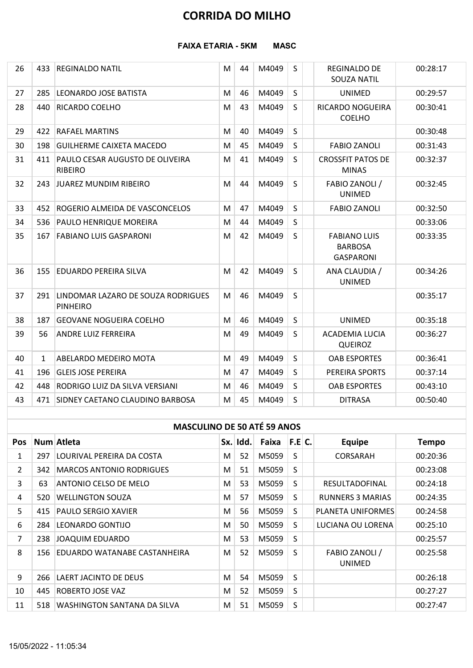#### FAIXA ETARIA - 5KM MASC

|                |                                    | <b>CORRIDA DO MILHO</b>                                   |   |          |                  |              |                                                           |              |  |  |  |  |  |  |
|----------------|------------------------------------|-----------------------------------------------------------|---|----------|------------------|--------------|-----------------------------------------------------------|--------------|--|--|--|--|--|--|
|                |                                    | <b>FAIXA ETARIA - 5KM</b>                                 |   |          | <b>MASC</b>      |              |                                                           |              |  |  |  |  |  |  |
| 26             | 433                                | <b>REGINALDO NATIL</b>                                    | M | 44       | M4049            | S            | REGINALDO DE<br>SOUZA NATIL                               | 00:28:17     |  |  |  |  |  |  |
| 27             |                                    | 285 LEONARDO JOSE BATISTA                                 | M | 46       | M4049            | S            | UNIMED                                                    | 00:29:57     |  |  |  |  |  |  |
| 28             |                                    | 440 RICARDO COELHO                                        | М | 43       | M4049            | S            | RICARDO NOGUEIRA<br><b>COELHO</b>                         | 00:30:41     |  |  |  |  |  |  |
| 29             |                                    | 422 RAFAEL MARTINS                                        | M | 40       | M4049            | S            |                                                           | 00:30:48     |  |  |  |  |  |  |
| 30             |                                    | 198 GUILHERME CAIXETA MACEDO                              | M | 45       | M4049            | S            | <b>FABIO ZANOLI</b>                                       | 00:31:43     |  |  |  |  |  |  |
| 31             |                                    | 411 PAULO CESAR AUGUSTO DE OLIVEIRA<br>RIBEIRO            | M | 41       | M4049            | S            | <b>CROSSFIT PATOS DE</b><br><b>MINAS</b>                  | 00:32:37     |  |  |  |  |  |  |
| 32             |                                    | 243 JUAREZ MUNDIM RIBEIRO                                 | М | 44       | M4049            | S.           | FABIO ZANOLI /<br><b>UNIMED</b>                           | 00:32:45     |  |  |  |  |  |  |
| 33             |                                    | 452 ROGERIO ALMEIDA DE VASCONCELOS                        | M | 47       | M4049            | S.           | <b>FABIO ZANOLI</b>                                       | 00:32:50     |  |  |  |  |  |  |
| 34             |                                    | 536 PAULO HENRIQUE MOREIRA                                | М | 44       | M4049            | S            |                                                           | 00:33:06     |  |  |  |  |  |  |
| 35             |                                    | 167 FABIANO LUIS GASPARONI                                | M | 42       | M4049            | S.           | <b>FABIANO LUIS</b><br><b>BARBOSA</b><br><b>GASPARONI</b> | 00:33:35     |  |  |  |  |  |  |
| 36             |                                    | 155 EDUARDO PEREIRA SILVA                                 | M | 42       | M4049            | S            | ANA CLAUDIA /<br><b>UNIMED</b>                            | 00:34:26     |  |  |  |  |  |  |
| 37             |                                    | 291 LINDOMAR LAZARO DE SOUZA RODRIGUES<br><b>PINHEIRO</b> | M | 46       | M4049            | S            |                                                           | 00:35:17     |  |  |  |  |  |  |
| 38             | 187                                | <b>GEOVANE NOGUEIRA COELHO</b>                            | M | 46       | M4049            | <sub>S</sub> | <b>UNIMED</b>                                             | 00:35:18     |  |  |  |  |  |  |
| 39             | 56                                 | <b>ANDRE LUIZ FERREIRA</b>                                | M | 49       | M4049            | S            | ACADEMIA LUCIA<br><b>QUEIROZ</b>                          | 00:36:27     |  |  |  |  |  |  |
| 40             | 1                                  | ABELARDO MEDEIRO MOTA                                     | M | 49       | M4049            | S            | <b>OAB ESPORTES</b>                                       | 00:36:41     |  |  |  |  |  |  |
| 41             |                                    | 196 GLEIS JOSE PEREIRA                                    | M | 47       | M4049            | S            | PEREIRA SPORTS                                            | 00:37:14     |  |  |  |  |  |  |
| 42             | 448                                | RODRIGO LUIZ DA SILVA VERSIANI                            | M | 46       | M4049            | S            | <b>OAB ESPORTES</b>                                       | 00:43:10     |  |  |  |  |  |  |
| 43             |                                    | 471 SIDNEY CAETANO CLAUDINO BARBOSA                       | M | 45       | M4049            | S            | <b>DITRASA</b>                                            | 00:50:40     |  |  |  |  |  |  |
|                | <b>MASCULINO DE 50 ATÉ 59 ANOS</b> |                                                           |   |          |                  |              |                                                           |              |  |  |  |  |  |  |
| Pos            |                                    | Num Atleta                                                |   | Sx. Idd. | Faixa $ F.E C$ . |              | <b>Equipe</b>                                             | <b>Tempo</b> |  |  |  |  |  |  |
| 1              | 297                                | LOURIVAL PEREIRA DA COSTA                                 | M | 52       | M5059            | S            | CORSARAH                                                  | 00:20:36     |  |  |  |  |  |  |
| $\overline{2}$ |                                    | 342 MARCOS ANTONIO RODRIGUES                              | M | 51       | M5059            | S            |                                                           | 00:23:08     |  |  |  |  |  |  |
| 3              | 63                                 | ANTONIO CELSO DE MELO                                     | M | 53       | M5059            | S            | RESULTADOFINAL                                            | 00:24:18     |  |  |  |  |  |  |
| 4              |                                    | 520 WELLINGTON SOUZA                                      | M | 57       | M5059            | S            | <b>RUNNERS 3 MARIAS</b>                                   | 00:24:35     |  |  |  |  |  |  |
| 5              | 415                                | <b>PAULO SERGIO XAVIER</b>                                | M | 56       | M5059            | S            | PLANETA UNIFORMES                                         | 00:24:58     |  |  |  |  |  |  |
| 6              | 284                                | LEONARDO GONTIJO                                          | M | 50       | M5059            | S            | LUCIANA OU LORENA                                         | 00:25:10     |  |  |  |  |  |  |
|                |                                    | 238 JOAQUIM EDUARDO                                       | M | 53       | M5059            | $\mathsf{S}$ |                                                           | 00:25:57     |  |  |  |  |  |  |

## MASCULINO DE 50 ATÉ 59 ANOS

| M4049<br><b>GEOVANE NOGUEIRA COELHO</b><br>46<br>S<br><b>UNIMED</b><br>00:35:18<br>38<br>187<br>M<br>M4049<br>39<br>49<br>S.<br>00:36:27<br><b>ANDRE LUIZ FERREIRA</b><br>M<br>ACADEMIA LUCIA<br>56<br><b>QUEIROZ</b><br>M4049<br>40<br>ABELARDO MEDEIRO MOTA<br>49<br>S.<br><b>OAB ESPORTES</b><br>00:36:41<br>M<br>$\mathbf{1}$<br>M4049<br>47<br>S<br>196<br><b>GLEIS JOSE PEREIRA</b><br>PEREIRA SPORTS<br>00:37:14<br>41<br>M<br>46<br>M4049<br>448 RODRIGO LUIZ DA SILVA VERSIANI<br>S<br>00:43:10<br>42<br>M<br><b>OAB ESPORTES</b><br>M4049<br>S<br>00:50:40<br>43<br>471 SIDNEY CAETANO CLAUDINO BARBOSA<br>45<br><b>DITRASA</b><br>M<br><b>MASCULINO DE 50 ATÉ 59 ANOS</b><br>Num Atleta<br>Sx. Idd.<br>Faixa<br>F.E.C.<br>Tempo<br><b>Equipe</b><br>Pos<br>52<br>M5059<br>297<br>LOURIVAL PEREIRA DA COSTA<br>S.<br>00:20:36<br><b>CORSARAH</b><br>1<br>M<br>M5059<br>S<br>342 MARCOS ANTONIO RODRIGUES<br>51<br>$\mathbf{2}$<br>M<br>00:23:08<br>53<br>M5059<br>S<br>3<br>RESULTADOFINAL<br>00:24:18<br><b>ANTONIO CELSO DE MELO</b><br>63<br>M<br>57<br>M5059<br>S<br>520 WELLINGTON SOUZA<br><b>RUNNERS 3 MARIAS</b><br>00:24:35<br>4<br>M<br>M5059<br>5<br>56<br>S<br><b>PAULO SERGIO XAVIER</b><br>00:24:58<br>415<br>M<br>PLANETA UNIFORMES<br>M5059<br>6<br>LEONARDO GONTIJO<br>50<br>S.<br>00:25:10<br>284<br>LUCIANA OU LORENA<br>M<br>M5059<br>S<br>JOAQUIM EDUARDO<br>53<br>00:25:57<br>238<br>7<br>M<br>8<br>52<br>M5059<br>FABIO ZANOLI /<br>156 EDUARDO WATANABE CASTANHEIRA<br>S<br>00:25:58<br>M<br><b>UNIMED</b><br>M5059<br>S<br>9<br>266   LAERT JACINTO DE DEUS<br>54<br>00:26:18<br>M<br>M5059<br>52<br>S<br>10<br><b>ROBERTO JOSE VAZ</b><br>00:27:27<br>445<br>M<br>$\sf S$<br>M5059<br>00:27:47<br>518 WASHINGTON SANTANA DA SILVA<br>M<br>51<br>11<br>15/05/2022 - 11:05:34 |  | <b>PINHEIRO</b> |  |  |  |  |
|-----------------------------------------------------------------------------------------------------------------------------------------------------------------------------------------------------------------------------------------------------------------------------------------------------------------------------------------------------------------------------------------------------------------------------------------------------------------------------------------------------------------------------------------------------------------------------------------------------------------------------------------------------------------------------------------------------------------------------------------------------------------------------------------------------------------------------------------------------------------------------------------------------------------------------------------------------------------------------------------------------------------------------------------------------------------------------------------------------------------------------------------------------------------------------------------------------------------------------------------------------------------------------------------------------------------------------------------------------------------------------------------------------------------------------------------------------------------------------------------------------------------------------------------------------------------------------------------------------------------------------------------------------------------------------------------------------------------------------------------------------------------------------------------------------------------|--|-----------------|--|--|--|--|
|                                                                                                                                                                                                                                                                                                                                                                                                                                                                                                                                                                                                                                                                                                                                                                                                                                                                                                                                                                                                                                                                                                                                                                                                                                                                                                                                                                                                                                                                                                                                                                                                                                                                                                                                                                                                                 |  |                 |  |  |  |  |
|                                                                                                                                                                                                                                                                                                                                                                                                                                                                                                                                                                                                                                                                                                                                                                                                                                                                                                                                                                                                                                                                                                                                                                                                                                                                                                                                                                                                                                                                                                                                                                                                                                                                                                                                                                                                                 |  |                 |  |  |  |  |
|                                                                                                                                                                                                                                                                                                                                                                                                                                                                                                                                                                                                                                                                                                                                                                                                                                                                                                                                                                                                                                                                                                                                                                                                                                                                                                                                                                                                                                                                                                                                                                                                                                                                                                                                                                                                                 |  |                 |  |  |  |  |
|                                                                                                                                                                                                                                                                                                                                                                                                                                                                                                                                                                                                                                                                                                                                                                                                                                                                                                                                                                                                                                                                                                                                                                                                                                                                                                                                                                                                                                                                                                                                                                                                                                                                                                                                                                                                                 |  |                 |  |  |  |  |
|                                                                                                                                                                                                                                                                                                                                                                                                                                                                                                                                                                                                                                                                                                                                                                                                                                                                                                                                                                                                                                                                                                                                                                                                                                                                                                                                                                                                                                                                                                                                                                                                                                                                                                                                                                                                                 |  |                 |  |  |  |  |
|                                                                                                                                                                                                                                                                                                                                                                                                                                                                                                                                                                                                                                                                                                                                                                                                                                                                                                                                                                                                                                                                                                                                                                                                                                                                                                                                                                                                                                                                                                                                                                                                                                                                                                                                                                                                                 |  |                 |  |  |  |  |
|                                                                                                                                                                                                                                                                                                                                                                                                                                                                                                                                                                                                                                                                                                                                                                                                                                                                                                                                                                                                                                                                                                                                                                                                                                                                                                                                                                                                                                                                                                                                                                                                                                                                                                                                                                                                                 |  |                 |  |  |  |  |
|                                                                                                                                                                                                                                                                                                                                                                                                                                                                                                                                                                                                                                                                                                                                                                                                                                                                                                                                                                                                                                                                                                                                                                                                                                                                                                                                                                                                                                                                                                                                                                                                                                                                                                                                                                                                                 |  |                 |  |  |  |  |
|                                                                                                                                                                                                                                                                                                                                                                                                                                                                                                                                                                                                                                                                                                                                                                                                                                                                                                                                                                                                                                                                                                                                                                                                                                                                                                                                                                                                                                                                                                                                                                                                                                                                                                                                                                                                                 |  |                 |  |  |  |  |
|                                                                                                                                                                                                                                                                                                                                                                                                                                                                                                                                                                                                                                                                                                                                                                                                                                                                                                                                                                                                                                                                                                                                                                                                                                                                                                                                                                                                                                                                                                                                                                                                                                                                                                                                                                                                                 |  |                 |  |  |  |  |
|                                                                                                                                                                                                                                                                                                                                                                                                                                                                                                                                                                                                                                                                                                                                                                                                                                                                                                                                                                                                                                                                                                                                                                                                                                                                                                                                                                                                                                                                                                                                                                                                                                                                                                                                                                                                                 |  |                 |  |  |  |  |
|                                                                                                                                                                                                                                                                                                                                                                                                                                                                                                                                                                                                                                                                                                                                                                                                                                                                                                                                                                                                                                                                                                                                                                                                                                                                                                                                                                                                                                                                                                                                                                                                                                                                                                                                                                                                                 |  |                 |  |  |  |  |
|                                                                                                                                                                                                                                                                                                                                                                                                                                                                                                                                                                                                                                                                                                                                                                                                                                                                                                                                                                                                                                                                                                                                                                                                                                                                                                                                                                                                                                                                                                                                                                                                                                                                                                                                                                                                                 |  |                 |  |  |  |  |
|                                                                                                                                                                                                                                                                                                                                                                                                                                                                                                                                                                                                                                                                                                                                                                                                                                                                                                                                                                                                                                                                                                                                                                                                                                                                                                                                                                                                                                                                                                                                                                                                                                                                                                                                                                                                                 |  |                 |  |  |  |  |
|                                                                                                                                                                                                                                                                                                                                                                                                                                                                                                                                                                                                                                                                                                                                                                                                                                                                                                                                                                                                                                                                                                                                                                                                                                                                                                                                                                                                                                                                                                                                                                                                                                                                                                                                                                                                                 |  |                 |  |  |  |  |
|                                                                                                                                                                                                                                                                                                                                                                                                                                                                                                                                                                                                                                                                                                                                                                                                                                                                                                                                                                                                                                                                                                                                                                                                                                                                                                                                                                                                                                                                                                                                                                                                                                                                                                                                                                                                                 |  |                 |  |  |  |  |
|                                                                                                                                                                                                                                                                                                                                                                                                                                                                                                                                                                                                                                                                                                                                                                                                                                                                                                                                                                                                                                                                                                                                                                                                                                                                                                                                                                                                                                                                                                                                                                                                                                                                                                                                                                                                                 |  |                 |  |  |  |  |
|                                                                                                                                                                                                                                                                                                                                                                                                                                                                                                                                                                                                                                                                                                                                                                                                                                                                                                                                                                                                                                                                                                                                                                                                                                                                                                                                                                                                                                                                                                                                                                                                                                                                                                                                                                                                                 |  |                 |  |  |  |  |
|                                                                                                                                                                                                                                                                                                                                                                                                                                                                                                                                                                                                                                                                                                                                                                                                                                                                                                                                                                                                                                                                                                                                                                                                                                                                                                                                                                                                                                                                                                                                                                                                                                                                                                                                                                                                                 |  |                 |  |  |  |  |
|                                                                                                                                                                                                                                                                                                                                                                                                                                                                                                                                                                                                                                                                                                                                                                                                                                                                                                                                                                                                                                                                                                                                                                                                                                                                                                                                                                                                                                                                                                                                                                                                                                                                                                                                                                                                                 |  |                 |  |  |  |  |
|                                                                                                                                                                                                                                                                                                                                                                                                                                                                                                                                                                                                                                                                                                                                                                                                                                                                                                                                                                                                                                                                                                                                                                                                                                                                                                                                                                                                                                                                                                                                                                                                                                                                                                                                                                                                                 |  |                 |  |  |  |  |